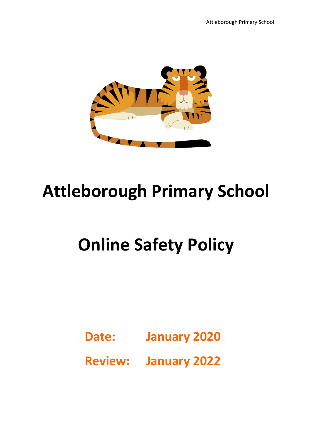

## **Attleborough Primary School**

# **Online Safety Policy**

**Date: January 2020**

**Review: January 2022**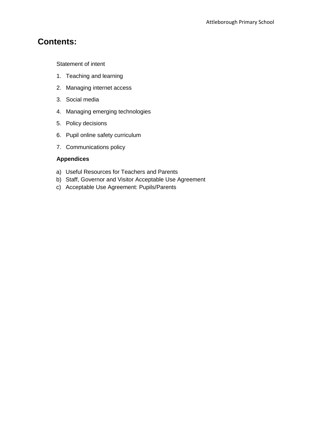## **Contents:**

Statement of intent

- 1. Teaching and learning
- 2. Managing internet access
- 3. Social media
- 4. Managing emerging technologies
- 5. Policy decisions
- 6. Pupil online safety curriculum
- 7. Communications policy

## **Appendices**

- a) Useful Resources for Teachers and Parents
- b) Staff, Governor and Visitor Acceptable Use Agreement
- c) Acceptable Use Agreement: Pupils/Parents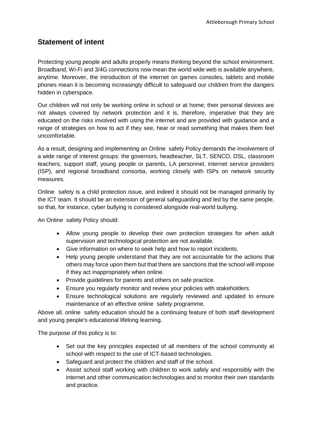## **Statement of intent**

Protecting young people and adults properly means thinking beyond the school environment. Broadband, Wi-Fi and 3/4G connections now mean the world wide web is available anywhere, anytime. Moreover, the introduction of the internet on games consoles, tablets and mobile phones mean it is becoming increasingly difficult to safeguard our children from the dangers hidden in cyberspace.

Our children will not only be working online in school or at home; their personal devices are not always covered by network protection and it is, therefore, imperative that they are educated on the risks involved with using the internet and are provided with guidance and a range of strategies on how to act if they see, hear or read something that makes them feel uncomfortable.

As a result, designing and implementing an Online safety Policy demands the involvement of a wide range of interest groups: the governors, headteacher, SLT, SENCO, DSL, classroom teachers, support staff, young people or parents, LA personnel, internet service providers (ISP), and regional broadband consortia, working closely with ISPs on network security measures.

Online safety is a child protection issue, and indeed it should not be managed primarily by the ICT team. It should be an extension of general safeguarding and led by the same people, so that, for instance, cyber bullying is considered alongside real-world bullying.

An Online safety Policy should:

- Allow young people to develop their own protection strategies for when adult supervision and technological protection are not available.
- Give information on where to seek help and how to report incidents.
- Help young people understand that they are not accountable for the actions that others may force upon them but that there are sanctions that the school will impose if they act inappropriately when online.
- Provide guidelines for parents and others on safe practice.
- Ensure you regularly monitor and review your policies with stakeholders.
- Ensure technological solutions are regularly reviewed and updated to ensure maintenance of an effective online safety programme.

Above all, online safety education should be a continuing feature of both staff development and young people's educational lifelong learning.

The purpose of this policy is to:

- Set out the key principles expected of all members of the school community at school with respect to the use of ICT-based technologies.
- Safeguard and protect the children and staff of the school.
- Assist school staff working with children to work safely and responsibly with the internet and other communication technologies and to monitor their own standards and practice.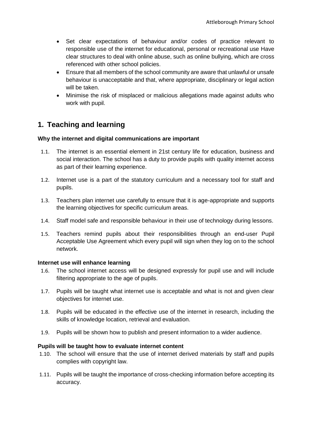- Set clear expectations of behaviour and/or codes of practice relevant to responsible use of the internet for educational, personal or recreational use Have clear structures to deal with online abuse, such as online bullying, which are cross referenced with other school policies.
- Ensure that all members of the school community are aware that unlawful or unsafe behaviour is unacceptable and that, where appropriate, disciplinary or legal action will be taken.
- Minimise the risk of misplaced or malicious allegations made against adults who work with pupil.

## **1. Teaching and learning**

## **Why the internet and digital communications are important**

- 1.1. The internet is an essential element in 21st century life for education, business and social interaction. The school has a duty to provide pupils with quality internet access as part of their learning experience.
- 1.2. Internet use is a part of the statutory curriculum and a necessary tool for staff and pupils.
- 1.3. Teachers plan internet use carefully to ensure that it is age-appropriate and supports the learning objectives for specific curriculum areas.
- 1.4. Staff model safe and responsible behaviour in their use of technology during lessons.
- 1.5. Teachers remind pupils about their responsibilities through an end-user Pupil Acceptable Use Agreement which every pupil will sign when they log on to the school network.

## **Internet use will enhance learning**

- 1.6. The school internet access will be designed expressly for pupil use and will include filtering appropriate to the age of pupils.
- 1.7. Pupils will be taught what internet use is acceptable and what is not and given clear objectives for internet use.
- 1.8. Pupils will be educated in the effective use of the internet in research, including the skills of knowledge location, retrieval and evaluation.
- 1.9. Pupils will be shown how to publish and present information to a wider audience.

## **Pupils will be taught how to evaluate internet content**

- 1.10. The school will ensure that the use of internet derived materials by staff and pupils complies with copyright law.
- 1.11. Pupils will be taught the importance of cross-checking information before accepting its accuracy.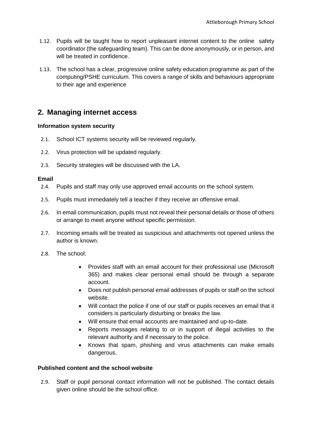- 1.12. Pupils will be taught how to report unpleasant internet content to the online safety coordinator (the safeguarding team). This can be done anonymously, or in person, and will be treated in confidence.
- 1.13. The school has a clear, progressive online safety education programme as part of the computing/PSHE curriculum. This covers a range of skills and behaviours appropriate to their age and experience

## **2. Managing internet access**

## **Information system security**

- 2.1. School ICT systems security will be reviewed regularly.
- 2.2. Virus protection will be updated regularly.
- 2.3. Security strategies will be discussed with the LA.

## **Email**

- 2.4. Pupils and staff may only use approved email accounts on the school system.
- 2.5. Pupils must immediately tell a teacher if they receive an offensive email.
- 2.6. In email communication, pupils must not reveal their personal details or those of others or arrange to meet anyone without specific permission.
- 2.7. Incoming emails will be treated as suspicious and attachments not opened unless the author is known.
- 2.8. The school:
	- Provides staff with an email account for their professional use (Microsoft 365) and makes clear personal email should be through a separate account.
	- Does not publish personal email addresses of pupils or staff on the school website.
	- Will contact the police if one of our staff or pupils receives an email that it considers is particularly disturbing or breaks the law.
	- Will ensure that email accounts are maintained and up-to-date.
	- Reports messages relating to or in support of illegal activities to the relevant authority and if necessary to the police.
	- Knows that spam, phishing and virus attachments can make emails dangerous.

## **Published content and the school website**

2.9. Staff or pupil personal contact information will not be published. The contact details given online should be the school office.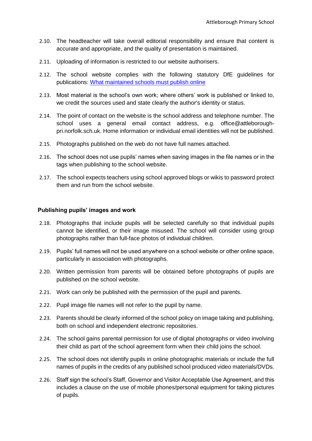- 2.10. The headteacher will take overall editorial responsibility and ensure that content is accurate and appropriate, and the quality of presentation is maintained.
- 2.11. Uploading of information is restricted to our website authorisers.
- 2.12. The school website complies with the following statutory DfE guidelines for publications: [What maintained schools must publish online](https://www.gov.uk/guidance/what-maintained-schools-must-publish-online)
- 2.13. Most material is the school's own work; where others' work is published or linked to, we credit the sources used and state clearly the author's identity or status.
- 2.14. The point of contact on the website is the school address and telephone number. The school uses a general email contact address, e.g. office@attleboroughpri.norfolk.sch.uk. Home information or individual email identities will not be published.
- 2.15. Photographs published on the web do not have full names attached.
- 2.16. The school does not use pupils' names when saving images in the file names or in the tags when publishing to the school website.
- 2.17. The school expects teachers using school approved blogs or wikis to password protect them and run from the school website.

#### **Publishing pupils' images and work**

- 2.18. Photographs that include pupils will be selected carefully so that individual pupils cannot be identified, or their image misused. The school will consider using group photographs rather than full-face photos of individual children.
- 2.19. Pupils' full names will not be used anywhere on a school website or other online space, particularly in association with photographs.
- 2.20. Written permission from parents will be obtained before photographs of pupils are published on the school website.
- 2.21. Work can only be published with the permission of the pupil and parents.
- 2.22. Pupil image file names will not refer to the pupil by name.
- 2.23. Parents should be clearly informed of the school policy on image taking and publishing, both on school and independent electronic repositories.
- 2.24. The school gains parental permission for use of digital photographs or video involving their child as part of the school agreement form when their child joins the school.
- 2.25. The school does not identify pupils in online photographic materials or include the full names of pupils in the credits of any published school produced video materials/DVDs.
- 2.26. Staff sign the school's Staff, Governor and Visitor Acceptable Use Agreement, and this includes a clause on the use of mobile phones/personal equipment for taking pictures of pupils.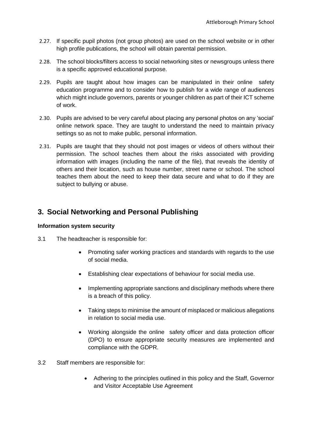- 2.27. If specific pupil photos (not group photos) are used on the school website or in other high profile publications, the school will obtain parental permission.
- 2.28. The school blocks/filters access to social networking sites or newsgroups unless there is a specific approved educational purpose.
- 2.29. Pupils are taught about how images can be manipulated in their online safety education programme and to consider how to publish for a wide range of audiences which might include governors, parents or younger children as part of their ICT scheme of work.
- 2.30. Pupils are advised to be very careful about placing any personal photos on any 'social' online network space. They are taught to understand the need to maintain privacy settings so as not to make public, personal information.
- 2.31. Pupils are taught that they should not post images or videos of others without their permission. The school teaches them about the risks associated with providing information with images (including the name of the file), that reveals the identity of others and their location, such as house number, street name or school. The school teaches them about the need to keep their data secure and what to do if they are subject to bullying or abuse.

## **3. Social Networking and Personal Publishing**

## **Information system security**

- 3.1 The headteacher is responsible for:
	- Promoting safer working practices and standards with regards to the use of social media.
	- Establishing clear expectations of behaviour for social media use.
	- Implementing appropriate sanctions and disciplinary methods where there is a breach of this policy.
	- Taking steps to minimise the amount of misplaced or malicious allegations in relation to social media use.
	- Working alongside the online safety officer and data protection officer (DPO) to ensure appropriate security measures are implemented and compliance with the GDPR.
- 3.2 Staff members are responsible for:
	- Adhering to the principles outlined in this policy and the Staff, Governor and Visitor Acceptable Use Agreement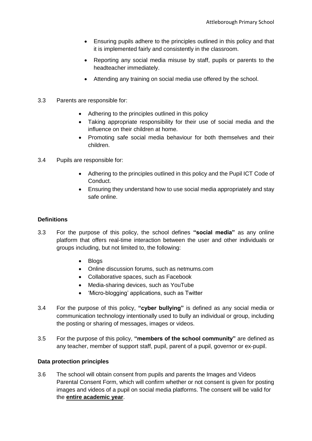- Ensuring pupils adhere to the principles outlined in this policy and that it is implemented fairly and consistently in the classroom.
- Reporting any social media misuse by staff, pupils or parents to the headteacher immediately.
- Attending any training on social media use offered by the school.
- 3.3 Parents are responsible for:
	- Adhering to the principles outlined in this policy
	- Taking appropriate responsibility for their use of social media and the influence on their children at home.
	- Promoting safe social media behaviour for both themselves and their children.
- 3.4 Pupils are responsible for:
	- Adhering to the principles outlined in this policy and the Pupil ICT Code of Conduct.
	- Ensuring they understand how to use social media appropriately and stay safe online.

## **Definitions**

- 3.3 For the purpose of this policy, the school defines **"social media"** as any online platform that offers real-time interaction between the user and other individuals or groups including, but not limited to, the following:
	- Blogs
	- Online discussion forums, such as netmums.com
	- Collaborative spaces, such as Facebook
	- Media-sharing devices, such as YouTube
	- 'Micro-blogging' applications, such as Twitter
- 3.4 For the purpose of this policy, **"cyber bullying"** is defined as any social media or communication technology intentionally used to bully an individual or group, including the posting or sharing of messages, images or videos.
- 3.5 For the purpose of this policy, **"members of the school community"** are defined as any teacher, member of support staff, pupil, parent of a pupil, governor or ex-pupil.

## **Data protection principles**

3.6 The school will obtain consent from pupils and parents the Images and Videos Parental Consent Form, which will confirm whether or not consent is given for posting images and videos of a pupil on social media platforms. The consent will be valid for the **entire academic year**.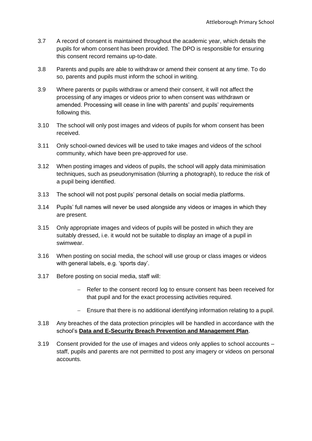- 3.7 A record of consent is maintained throughout the academic year, which details the pupils for whom consent has been provided. The DPO is responsible for ensuring this consent record remains up-to-date.
- 3.8 Parents and pupils are able to withdraw or amend their consent at any time. To do so, parents and pupils must inform the school in writing.
- 3.9 Where parents or pupils withdraw or amend their consent, it will not affect the processing of any images or videos prior to when consent was withdrawn or amended. Processing will cease in line with parents' and pupils' requirements following this.
- 3.10 The school will only post images and videos of pupils for whom consent has been received.
- 3.11 Only school-owned devices will be used to take images and videos of the school community, which have been pre-approved for use.
- 3.12 When posting images and videos of pupils, the school will apply data minimisation techniques, such as pseudonymisation (blurring a photograph), to reduce the risk of a pupil being identified.
- 3.13 The school will not post pupils' personal details on social media platforms.
- 3.14 Pupils' full names will never be used alongside any videos or images in which they are present.
- 3.15 Only appropriate images and videos of pupils will be posted in which they are suitably dressed, i.e. it would not be suitable to display an image of a pupil in swimwear.
- 3.16 When posting on social media, the school will use group or class images or videos with general labels, e.g. 'sports day'.
- 3.17 Before posting on social media, staff will:
	- Refer to the consent record log to ensure consent has been received for that pupil and for the exact processing activities required.
	- Ensure that there is no additional identifying information relating to a pupil.
- 3.18 Any breaches of the data protection principles will be handled in accordance with the school's **Data and E-Security Breach Prevention and Management Plan**.
- 3.19 Consent provided for the use of images and videos only applies to school accounts staff, pupils and parents are not permitted to post any imagery or videos on personal accounts.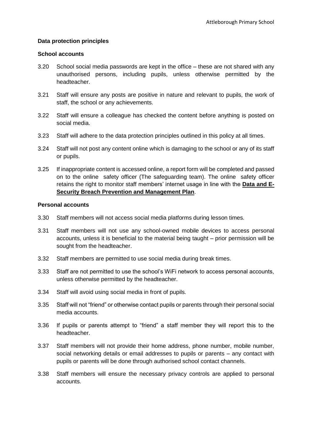## **Data protection principles**

#### **School accounts**

- 3.20 School social media passwords are kept in the office these are not shared with any unauthorised persons, including pupils, unless otherwise permitted by the headteacher.
- 3.21 Staff will ensure any posts are positive in nature and relevant to pupils, the work of staff, the school or any achievements.
- 3.22 Staff will ensure a colleague has checked the content before anything is posted on social media.
- 3.23 Staff will adhere to the data protection principles outlined in this policy at all times.
- 3.24 Staff will not post any content online which is damaging to the school or any of its staff or pupils.
- 3.25 If inappropriate content is accessed online, a report form will be completed and passed on to the online safety officer (The safeguarding team). The online safety officer retains the right to monitor staff members' internet usage in line with the **Data and E-Security Breach Prevention and Management Plan**.

## **Personal accounts**

- 3.30 Staff members will not access social media platforms during lesson times.
- 3.31 Staff members will not use any school-owned mobile devices to access personal accounts, unless it is beneficial to the material being taught – prior permission will be sought from the headteacher.
- 3.32 Staff members are permitted to use social media during break times.
- 3.33 Staff are not permitted to use the school's WiFi network to access personal accounts, unless otherwise permitted by the headteacher.
- 3.34 Staff will avoid using social media in front of pupils.
- 3.35 Staff will not "friend" or otherwise contact pupils or parents through their personal social media accounts.
- 3.36 If pupils or parents attempt to "friend" a staff member they will report this to the headteacher.
- 3.37 Staff members will not provide their home address, phone number, mobile number, social networking details or email addresses to pupils or parents – any contact with pupils or parents will be done through authorised school contact channels.
- 3.38 Staff members will ensure the necessary privacy controls are applied to personal accounts.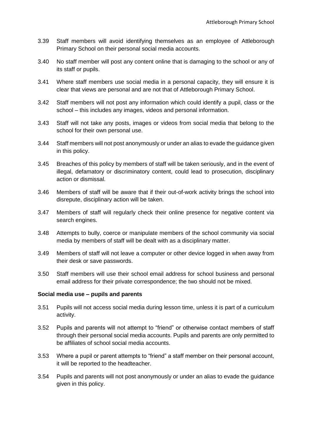- 3.39 Staff members will avoid identifying themselves as an employee of Attleborough Primary School on their personal social media accounts.
- 3.40 No staff member will post any content online that is damaging to the school or any of its staff or pupils.
- 3.41 Where staff members use social media in a personal capacity, they will ensure it is clear that views are personal and are not that of Attleborough Primary School.
- 3.42 Staff members will not post any information which could identify a pupil, class or the school – this includes any images, videos and personal information.
- 3.43 Staff will not take any posts, images or videos from social media that belong to the school for their own personal use.
- 3.44 Staff members will not post anonymously or under an alias to evade the guidance given in this policy.
- 3.45 Breaches of this policy by members of staff will be taken seriously, and in the event of illegal, defamatory or discriminatory content, could lead to prosecution, disciplinary action or dismissal.
- 3.46 Members of staff will be aware that if their out-of-work activity brings the school into disrepute, disciplinary action will be taken.
- 3.47 Members of staff will regularly check their online presence for negative content via search engines.
- 3.48 Attempts to bully, coerce or manipulate members of the school community via social media by members of staff will be dealt with as a disciplinary matter.
- 3.49 Members of staff will not leave a computer or other device logged in when away from their desk or save passwords.
- 3.50 Staff members will use their school email address for school business and personal email address for their private correspondence; the two should not be mixed.

## **Social media use – pupils and parents**

- 3.51 Pupils will not access social media during lesson time, unless it is part of a curriculum activity.
- 3.52 Pupils and parents will not attempt to "friend" or otherwise contact members of staff through their personal social media accounts. Pupils and parents are only permitted to be affiliates of school social media accounts.
- 3.53 Where a pupil or parent attempts to "friend" a staff member on their personal account, it will be reported to the headteacher.
- 3.54 Pupils and parents will not post anonymously or under an alias to evade the guidance given in this policy.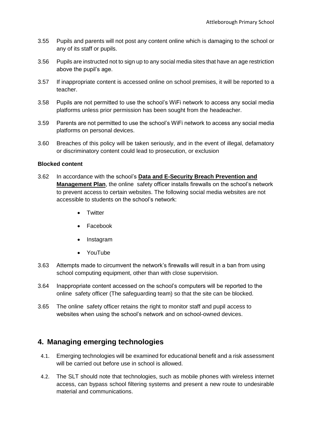- 3.55 Pupils and parents will not post any content online which is damaging to the school or any of its staff or pupils.
- 3.56 Pupils are instructed not to sign up to any social media sites that have an age restriction above the pupil's age.
- 3.57 If inappropriate content is accessed online on school premises, it will be reported to a teacher.
- 3.58 Pupils are not permitted to use the school's WiFi network to access any social media platforms unless prior permission has been sought from the headeacher.
- 3.59 Parents are not permitted to use the school's WiFi network to access any social media platforms on personal devices.
- 3.60 Breaches of this policy will be taken seriously, and in the event of illegal, defamatory or discriminatory content could lead to prosecution, or exclusion

## **Blocked content**

- 3.62 In accordance with the school's **Data and E-Security Breach Prevention and Management Plan**, the online safety officer installs firewalls on the school's network to prevent access to certain websites. The following social media websites are not accessible to students on the school's network:
	- Twitter
	- Facebook
	- Instagram
	- YouTube
- 3.63 Attempts made to circumvent the network's firewalls will result in a ban from using school computing equipment, other than with close supervision.
- 3.64 Inappropriate content accessed on the school's computers will be reported to the online safety officer (The safeguarding team) so that the site can be blocked.
- 3.65 The online safety officer retains the right to monitor staff and pupil access to websites when using the school's network and on school-owned devices.

## **4. Managing emerging technologies**

- 4.1. Emerging technologies will be examined for educational benefit and a risk assessment will be carried out before use in school is allowed.
- 4.2. The SLT should note that technologies, such as mobile phones with wireless internet access, can bypass school filtering systems and present a new route to undesirable material and communications.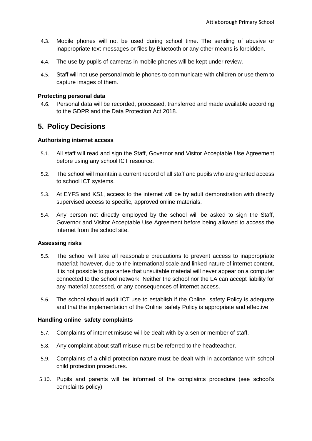- 4.3. Mobile phones will not be used during school time. The sending of abusive or inappropriate text messages or files by Bluetooth or any other means is forbidden.
- 4.4. The use by pupils of cameras in mobile phones will be kept under review.
- 4.5. Staff will not use personal mobile phones to communicate with children or use them to capture images of them.

## **Protecting personal data**

4.6. Personal data will be recorded, processed, transferred and made available according to the GDPR and the Data Protection Act 2018.

## **5. Policy Decisions**

## **Authorising internet access**

- 5.1. All staff will read and sign the Staff, Governor and Visitor Acceptable Use Agreement before using any school ICT resource.
- 5.2. The school will maintain a current record of all staff and pupils who are granted access to school ICT systems.
- 5.3. At EYFS and KS1, access to the internet will be by adult demonstration with directly supervised access to specific, approved online materials.
- 5.4. Any person not directly employed by the school will be asked to sign the Staff, Governor and Visitor Acceptable Use Agreement before being allowed to access the internet from the school site.

## **Assessing risks**

- 5.5. The school will take all reasonable precautions to prevent access to inappropriate material; however, due to the international scale and linked nature of internet content, it is not possible to guarantee that unsuitable material will never appear on a computer connected to the school network. Neither the school nor the LA can accept liability for any material accessed, or any consequences of internet access.
- 5.6. The school should audit ICT use to establish if the Online safety Policy is adequate and that the implementation of the Online safety Policy is appropriate and effective.

## **Handling online safety complaints**

- 5.7. Complaints of internet misuse will be dealt with by a senior member of staff.
- 5.8. Any complaint about staff misuse must be referred to the headteacher.
- 5.9. Complaints of a child protection nature must be dealt with in accordance with school child protection procedures.
- 5.10. Pupils and parents will be informed of the complaints procedure (see school's complaints policy)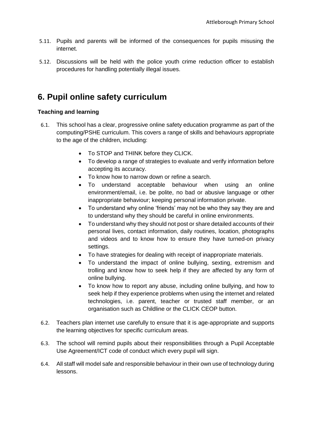- 5.11. Pupils and parents will be informed of the consequences for pupils misusing the internet.
- 5.12. Discussions will be held with the police youth crime reduction officer to establish procedures for handling potentially illegal issues.

## **6. Pupil online safety curriculum**

## **Teaching and learning**

- 6.1. This school has a clear, progressive online safety education programme as part of the computing/PSHE curriculum. This covers a range of skills and behaviours appropriate to the age of the children, including:
	- To STOP and THINK before they CLICK.
	- To develop a range of strategies to evaluate and verify information before accepting its accuracy.
	- To know how to narrow down or refine a search.
	- To understand acceptable behaviour when using an online environment/email, i.e. be polite, no bad or abusive language or other inappropriate behaviour; keeping personal information private.
	- To understand why online 'friends' may not be who they say they are and to understand why they should be careful in online environments.
	- To understand why they should not post or share detailed accounts of their personal lives, contact information, daily routines, location, photographs and videos and to know how to ensure they have turned-on privacy settings.
	- To have strategies for dealing with receipt of inappropriate materials.
	- To understand the impact of online bullying, sexting, extremism and trolling and know how to seek help if they are affected by any form of online bullying.
	- To know how to report any abuse, including online bullying, and how to seek help if they experience problems when using the internet and related technologies, i.e. parent, teacher or trusted staff member, or an organisation such as Childline or the CLICK CEOP button.
- 6.2. Teachers plan internet use carefully to ensure that it is age-appropriate and supports the learning objectives for specific curriculum areas.
- 6.3. The school will remind pupils about their responsibilities through a Pupil Acceptable Use Agreement/ICT code of conduct which every pupil will sign.
- 6.4. All staff will model safe and responsible behaviour in their own use of technology during lessons.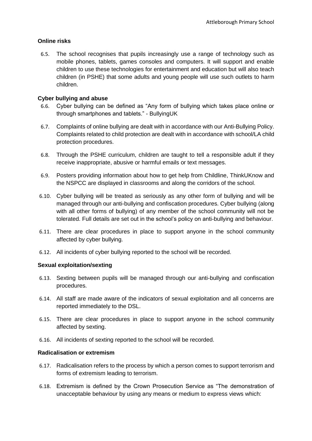## **Online risks**

6.5. The school recognises that pupils increasingly use a range of technology such as mobile phones, tablets, games consoles and computers. It will support and enable children to use these technologies for entertainment and education but will also teach children (in PSHE) that some adults and young people will use such outlets to harm children.

## **Cyber bullying and abuse**

- 6.6. Cyber bullying can be defined as "Any form of bullying which takes place online or through smartphones and tablets." - BullyingUK
- 6.7. Complaints of online bullying are dealt with in accordance with our Anti-Bullying Policy. Complaints related to child protection are dealt with in accordance with school/LA child protection procedures.
- 6.8. Through the PSHE curriculum, children are taught to tell a responsible adult if they receive inappropriate, abusive or harmful emails or text messages.
- 6.9. Posters providing information about how to get help from Childline, ThinkUKnow and the NSPCC are displayed in classrooms and along the corridors of the school.
- 6.10. Cyber bullying will be treated as seriously as any other form of bullying and will be managed through our anti-bullying and confiscation procedures. Cyber bullying (along with all other forms of bullying) of any member of the school community will not be tolerated. Full details are set out in the school's policy on anti-bullying and behaviour.
- 6.11. There are clear procedures in place to support anyone in the school community affected by cyber bullying.
- 6.12. All incidents of cyber bullying reported to the school will be recorded.

## **Sexual exploitation/sexting**

- 6.13. Sexting between pupils will be managed through our anti-bullying and confiscation procedures.
- 6.14. All staff are made aware of the indicators of sexual exploitation and all concerns are reported immediately to the DSL.
- 6.15. There are clear procedures in place to support anyone in the school community affected by sexting.
- 6.16. All incidents of sexting reported to the school will be recorded.

## **Radicalisation or extremism**

- 6.17. Radicalisation refers to the process by which a person comes to support terrorism and forms of extremism leading to terrorism.
- 6.18. Extremism is defined by the Crown Prosecution Service as "The demonstration of unacceptable behaviour by using any means or medium to express views which: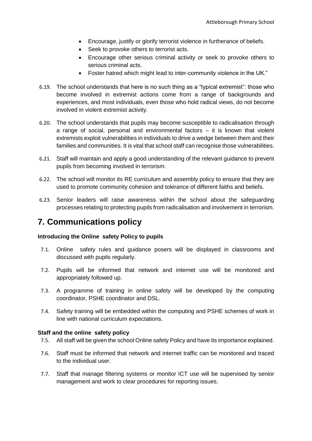- Encourage, justify or glorify terrorist violence in furtherance of beliefs.
- Seek to provoke others to terrorist acts.
- Encourage other serious criminal activity or seek to provoke others to serious criminal acts.
- Foster hatred which might lead to inter-community violence in the UK."
- 6.19. The school understands that here is no such thing as a "typical extremist": those who become involved in extremist actions come from a range of backgrounds and experiences, and most individuals, even those who hold radical views, do not become involved in violent extremist activity.
- 6.20. The school understands that pupils may become susceptible to radicalisation through a range of social, personal and environmental factors – it is known that violent extremists exploit vulnerabilities in individuals to drive a wedge between them and their families and communities. It is vital that school staff can recognise those vulnerabilities.
- 6.21. Staff will maintain and apply a good understanding of the relevant guidance to prevent pupils from becoming involved in terrorism.
- 6.22. The school will monitor its RE curriculum and assembly policy to ensure that they are used to promote community cohesion and tolerance of different faiths and beliefs.
- 6.23. Senior leaders will raise awareness within the school about the safeguarding processes relating to protecting pupils from radicalisation and involvement in terrorism.

## **7. Communications policy**

## **Introducing the Online safety Policy to pupils**

- 7.1. Online safety rules and guidance posers will be displayed in classrooms and discussed with pupils regularly.
- 7.2. Pupils will be informed that network and internet use will be monitored and appropriately followed up.
- 7.3. A programme of training in online safety will be developed by the computing coordinator, PSHE coordinator and DSL.
- 7.4. Safety training will be embedded within the computing and PSHE schemes of work in line with national curriculum expectations.

## **Staff and the online safety policy**

- 7.5. All staff will be given the school Online safety Policy and have its importance explained.
- 7.6. Staff must be informed that network and internet traffic can be monitored and traced to the individual user.
- 7.7. Staff that manage filtering systems or monitor ICT use will be supervised by senior management and work to clear procedures for reporting issues.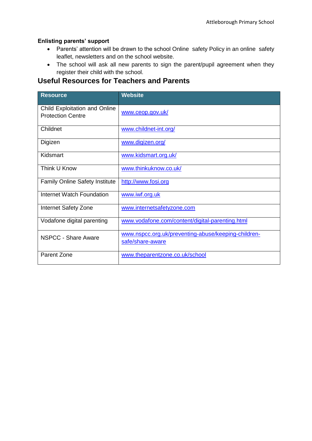## **Enlisting parents' support**

- Parents' attention will be drawn to the school Online safety Policy in an online safety leaflet, newsletters and on the school website.
- The school will ask all new parents to sign the parent/pupil agreement when they register their child with the school.

## **Useful Resources for Teachers and Parents**

| <b>Resource</b>                                           | <b>Website</b>                                                          |  |
|-----------------------------------------------------------|-------------------------------------------------------------------------|--|
| Child Exploitation and Online<br><b>Protection Centre</b> | www.ceop.gov.uk/                                                        |  |
| Childnet                                                  | www.childnet-int.org/                                                   |  |
| Digizen                                                   | www.digizen.org/                                                        |  |
| Kidsmart                                                  | www.kidsmart.org.uk/                                                    |  |
| Think U Know                                              | www.thinkuknow.co.uk/                                                   |  |
| <b>Family Online Safety Institute</b>                     | http://www.fosi.org                                                     |  |
| <b>Internet Watch Foundation</b>                          | www.iwf.org.uk                                                          |  |
| Internet Safety Zone                                      | www.internetsafetyzone.com                                              |  |
| Vodafone digital parenting                                | www.vodafone.com/content/digital-parenting.html                         |  |
| <b>NSPCC - Share Aware</b>                                | www.nspcc.org.uk/preventing-abuse/keeping-children-<br>safe/share-aware |  |
| Parent Zone                                               | www.theparentzone.co.uk/school                                          |  |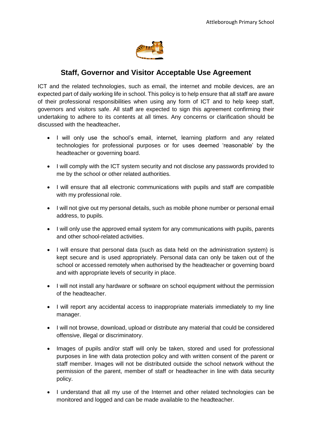

## **Staff, Governor and Visitor Acceptable Use Agreement**

ICT and the related technologies, such as email, the internet and mobile devices, are an expected part of daily working life in school. This policy is to help ensure that all staff are aware of their professional responsibilities when using any form of ICT and to help keep staff, governors and visitors safe. All staff are expected to sign this agreement confirming their undertaking to adhere to its contents at all times. Any concerns or clarification should be discussed with the headteacher**.**

- I will only use the school's email, internet, learning platform and any related technologies for professional purposes or for uses deemed 'reasonable' by the headteacher or governing board.
- I will comply with the ICT system security and not disclose any passwords provided to me by the school or other related authorities.
- I will ensure that all electronic communications with pupils and staff are compatible with my professional role.
- I will not give out my personal details, such as mobile phone number or personal email address, to pupils.
- I will only use the approved email system for any communications with pupils, parents and other school-related activities.
- I will ensure that personal data (such as data held on the administration system) is kept secure and is used appropriately. Personal data can only be taken out of the school or accessed remotely when authorised by the headteacher or governing board and with appropriate levels of security in place.
- I will not install any hardware or software on school equipment without the permission of the headteacher.
- I will report any accidental access to inappropriate materials immediately to my line manager.
- I will not browse, download, upload or distribute any material that could be considered offensive, illegal or discriminatory.
- Images of pupils and/or staff will only be taken, stored and used for professional purposes in line with data protection policy and with written consent of the parent or staff member. Images will not be distributed outside the school network without the permission of the parent, member of staff or headteacher in line with data security policy.
- I understand that all my use of the Internet and other related technologies can be monitored and logged and can be made available to the headteacher.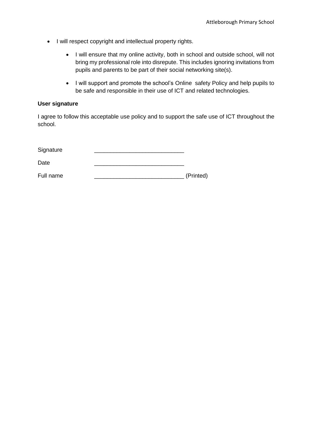- I will respect copyright and intellectual property rights.
	- I will ensure that my online activity, both in school and outside school, will not bring my professional role into disrepute. This includes ignoring invitations from pupils and parents to be part of their social networking site(s).
	- I will support and promote the school's Online safety Policy and help pupils to be safe and responsible in their use of ICT and related technologies.

## **User signature**

I agree to follow this acceptable use policy and to support the safe use of ICT throughout the school.

| Signature |           |
|-----------|-----------|
| Date      |           |
| Full name | (Printed) |